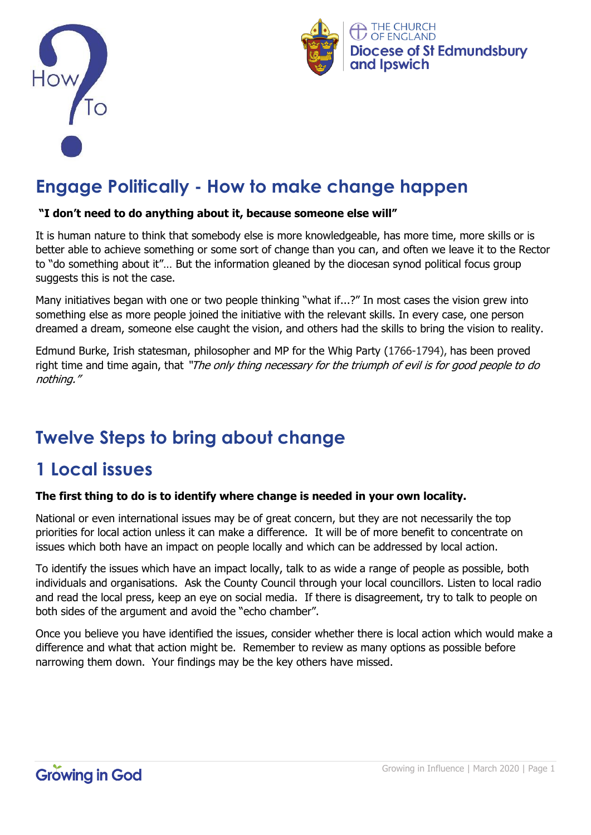



# **Engage Politically - How to make change happen**

#### **"I don't need to do anything about it, because someone else will"**

It is human nature to think that somebody else is more knowledgeable, has more time, more skills or is better able to achieve something or some sort of change than you can, and often we leave it to the Rector to "do something about it"… But the information gleaned by the diocesan synod political focus group suggests this is not the case.

Many initiatives began with one or two people thinking "what if...?" In most cases the vision grew into something else as more people joined the initiative with the relevant skills. In every case, one person dreamed a dream, someone else caught the vision, and others had the skills to bring the vision to reality.

Edmund Burke, Irish statesman, philosopher and MP for the Whig Party (1766-1794), has been proved right time and time again, that "*The only thing necessary for the triumph of evil is for good people to do* nothing."

# **Twelve Steps to bring about change**

### **1 Local issues**

#### **The first thing to do is to identify where change is needed in your own locality.**

National or even international issues may be of great concern, but they are not necessarily the top priorities for local action unless it can make a difference. It will be of more benefit to concentrate on issues which both have an impact on people locally and which can be addressed by local action.

To identify the issues which have an impact locally, talk to as wide a range of people as possible, both individuals and organisations. Ask the County Council through your local councillors. Listen to local radio and read the local press, keep an eye on social media. If there is disagreement, try to talk to people on both sides of the argument and avoid the "echo chamber".

Once you believe you have identified the issues, consider whether there is local action which would make a difference and what that action might be. Remember to review as many options as possible before narrowing them down. Your findings may be the key others have missed.

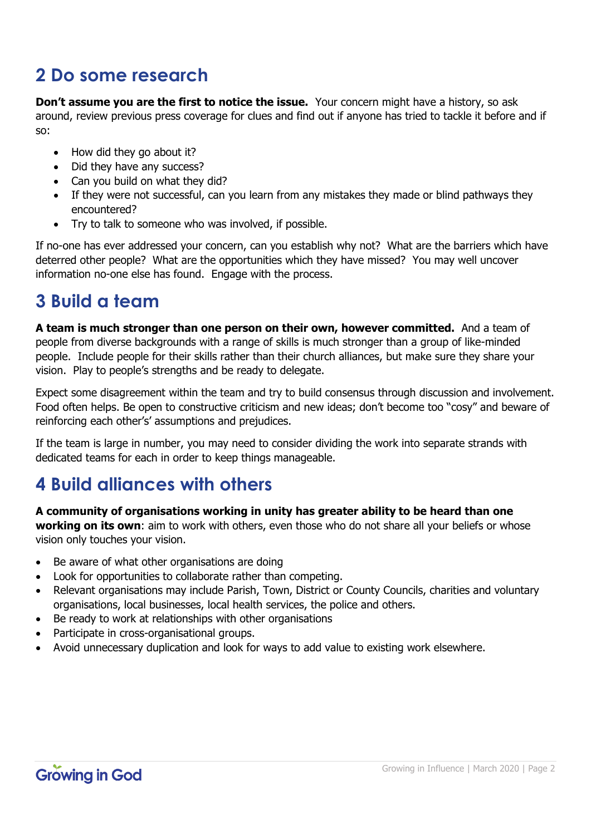# **2 Do some research**

**Don't assume you are the first to notice the issue.** Your concern might have a history, so ask around, review previous press coverage for clues and find out if anyone has tried to tackle it before and if so:

- How did they go about it?
- Did they have any success?
- Can you build on what they did?
- If they were not successful, can you learn from any mistakes they made or blind pathways they encountered?
- Try to talk to someone who was involved, if possible.

If no-one has ever addressed your concern, can you establish why not? What are the barriers which have deterred other people? What are the opportunities which they have missed? You may well uncover information no-one else has found. Engage with the process.

### **3 Build a team**

**A team is much stronger than one person on their own, however committed.** And a team of people from diverse backgrounds with a range of skills is much stronger than a group of like-minded people. Include people for their skills rather than their church alliances, but make sure they share your vision. Play to people's strengths and be ready to delegate.

Expect some disagreement within the team and try to build consensus through discussion and involvement. Food often helps. Be open to constructive criticism and new ideas; don't become too "cosy" and beware of reinforcing each other's' assumptions and prejudices.

If the team is large in number, you may need to consider dividing the work into separate strands with dedicated teams for each in order to keep things manageable.

### **4 Build alliances with others**

**A community of organisations working in unity has greater ability to be heard than one working on its own**: aim to work with others, even those who do not share all your beliefs or whose vision only touches your vision.

- Be aware of what other organisations are doing
- Look for opportunities to collaborate rather than competing.
- Relevant organisations may include Parish, Town, District or County Councils, charities and voluntary organisations, local businesses, local health services, the police and others.
- Be ready to work at relationships with other organisations
- Participate in cross-organisational groups.
- Avoid unnecessary duplication and look for ways to add value to existing work elsewhere.

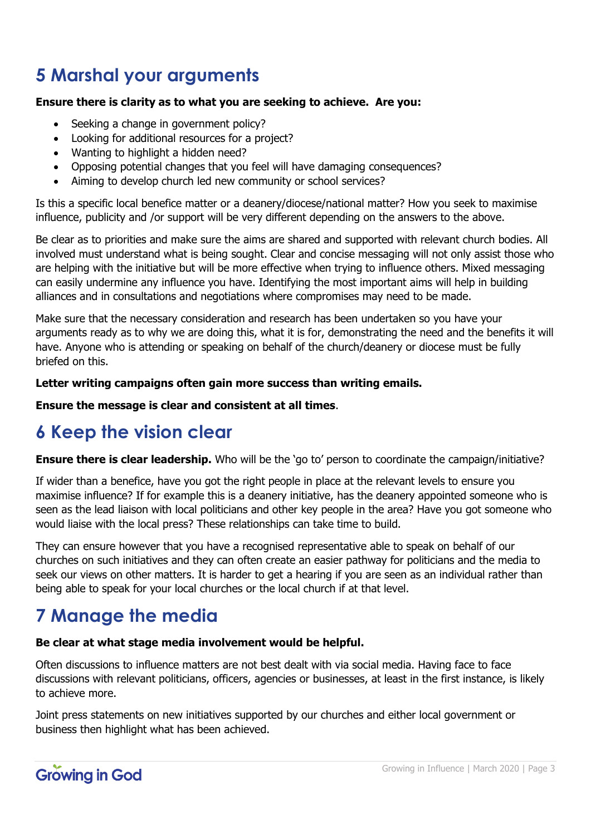# **5 Marshal your arguments**

#### **Ensure there is clarity as to what you are seeking to achieve. Are you:**

- Seeking a change in government policy?
- Looking for additional resources for a project?
- Wanting to highlight a hidden need?
- Opposing potential changes that you feel will have damaging consequences?
- Aiming to develop church led new community or school services?

Is this a specific local benefice matter or a deanery/diocese/national matter? How you seek to maximise influence, publicity and /or support will be very different depending on the answers to the above.

Be clear as to priorities and make sure the aims are shared and supported with relevant church bodies. All involved must understand what is being sought. Clear and concise messaging will not only assist those who are helping with the initiative but will be more effective when trying to influence others. Mixed messaging can easily undermine any influence you have. Identifying the most important aims will help in building alliances and in consultations and negotiations where compromises may need to be made.

Make sure that the necessary consideration and research has been undertaken so you have your arguments ready as to why we are doing this, what it is for, demonstrating the need and the benefits it will have. Anyone who is attending or speaking on behalf of the church/deanery or diocese must be fully briefed on this.

#### **Letter writing campaigns often gain more success than writing emails.**

#### **Ensure the message is clear and consistent at all times**.

#### **6 Keep the vision clear**

**Ensure there is clear leadership.** Who will be the 'go to' person to coordinate the campaign/initiative?

If wider than a benefice, have you got the right people in place at the relevant levels to ensure you maximise influence? If for example this is a deanery initiative, has the deanery appointed someone who is seen as the lead liaison with local politicians and other key people in the area? Have you got someone who would liaise with the local press? These relationships can take time to build.

They can ensure however that you have a recognised representative able to speak on behalf of our churches on such initiatives and they can often create an easier pathway for politicians and the media to seek our views on other matters. It is harder to get a hearing if you are seen as an individual rather than being able to speak for your local churches or the local church if at that level.

# **7 Manage the media**

#### **Be clear at what stage media involvement would be helpful.**

Often discussions to influence matters are not best dealt with via social media. Having face to face discussions with relevant politicians, officers, agencies or businesses, at least in the first instance, is likely to achieve more.

Joint press statements on new initiatives supported by our churches and either local government or business then highlight what has been achieved.

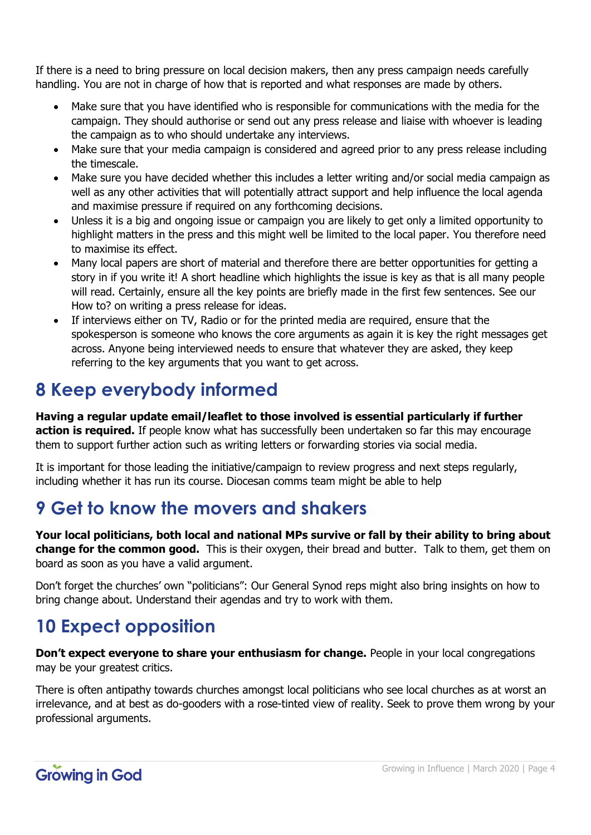If there is a need to bring pressure on local decision makers, then any press campaign needs carefully handling. You are not in charge of how that is reported and what responses are made by others.

- Make sure that you have identified who is responsible for communications with the media for the campaign. They should authorise or send out any press release and liaise with whoever is leading the campaign as to who should undertake any interviews.
- Make sure that your media campaign is considered and agreed prior to any press release including the timescale.
- Make sure you have decided whether this includes a letter writing and/or social media campaign as well as any other activities that will potentially attract support and help influence the local agenda and maximise pressure if required on any forthcoming decisions.
- Unless it is a big and ongoing issue or campaign you are likely to get only a limited opportunity to highlight matters in the press and this might well be limited to the local paper. You therefore need to maximise its effect.
- Many local papers are short of material and therefore there are better opportunities for getting a story in if you write it! A short headline which highlights the issue is key as that is all many people will read. Certainly, ensure all the key points are briefly made in the first few sentences. See our How to? on writing a press release for ideas.
- If interviews either on TV, Radio or for the printed media are required, ensure that the spokesperson is someone who knows the core arguments as again it is key the right messages get across. Anyone being interviewed needs to ensure that whatever they are asked, they keep referring to the key arguments that you want to get across.

# **8 Keep everybody informed**

**Having a regular update email/leaflet to those involved is essential particularly if further action is required.** If people know what has successfully been undertaken so far this may encourage them to support further action such as writing letters or forwarding stories via social media.

It is important for those leading the initiative/campaign to review progress and next steps regularly, including whether it has run its course. Diocesan comms team might be able to help

### **9 Get to know the movers and shakers**

**Your local politicians, both local and national MPs survive or fall by their ability to bring about change for the common good.** This is their oxygen, their bread and butter. Talk to them, get them on board as soon as you have a valid argument.

Don't forget the churches' own "politicians": Our General Synod reps might also bring insights on how to bring change about. Understand their agendas and try to work with them.

# **10 Expect opposition**

**Don't expect everyone to share your enthusiasm for change.** People in your local congregations may be your greatest critics.

There is often antipathy towards churches amongst local politicians who see local churches as at worst an irrelevance, and at best as do-gooders with a rose-tinted view of reality. Seek to prove them wrong by your professional arguments.

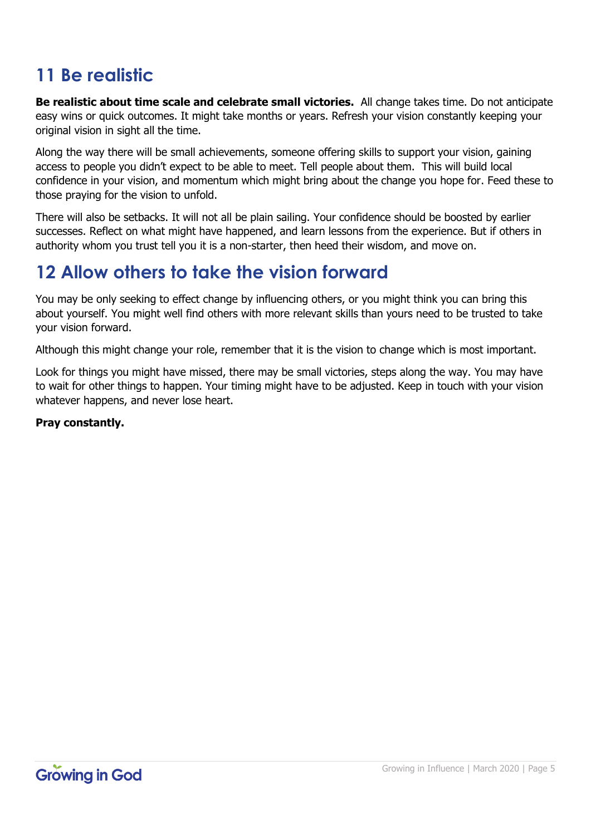# **11 Be realistic**

**Be realistic about time scale and celebrate small victories.** All change takes time. Do not anticipate easy wins or quick outcomes. It might take months or years. Refresh your vision constantly keeping your original vision in sight all the time.

Along the way there will be small achievements, someone offering skills to support your vision, gaining access to people you didn't expect to be able to meet. Tell people about them. This will build local confidence in your vision, and momentum which might bring about the change you hope for. Feed these to those praying for the vision to unfold.

There will also be setbacks. It will not all be plain sailing. Your confidence should be boosted by earlier successes. Reflect on what might have happened, and learn lessons from the experience. But if others in authority whom you trust tell you it is a non-starter, then heed their wisdom, and move on.

### **12 Allow others to take the vision forward**

You may be only seeking to effect change by influencing others, or you might think you can bring this about yourself. You might well find others with more relevant skills than yours need to be trusted to take your vision forward.

Although this might change your role, remember that it is the vision to change which is most important.

Look for things you might have missed, there may be small victories, steps along the way. You may have to wait for other things to happen. Your timing might have to be adjusted. Keep in touch with your vision whatever happens, and never lose heart.

#### **Pray constantly.**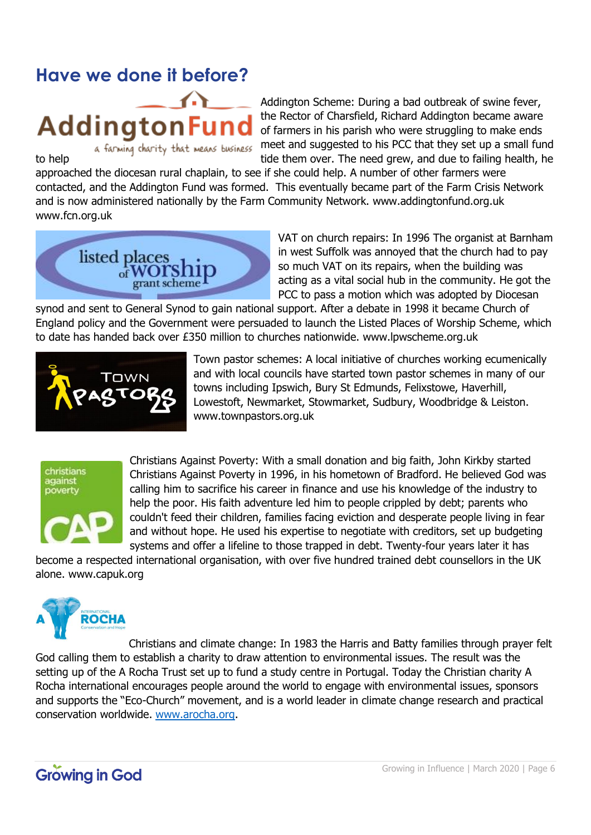### **Have we done it before?**



Addington Scheme: During a bad outbreak of swine fever, the Rector of Charsfield, Richard Addington became aware of farmers in his parish who were struggling to make ends a farming charity that means business meet and suggested to his PCC that they set up a small fund to help tide them over. The need grew, and due to failing health, he

approached the diocesan rural chaplain, to see if she could help. A number of other farmers were contacted, and the Addington Fund was formed. This eventually became part of the Farm Crisis Network and is now administered nationally by the Farm Community Network. www.addingtonfund.org.uk www.fcn.org.uk



VAT on church repairs: In 1996 The organist at Barnham in west Suffolk was annoyed that the church had to pay so much VAT on its repairs, when the building was acting as a vital social hub in the community. He got the PCC to pass a motion which was adopted by Diocesan

synod and sent to General Synod to gain national support. After a debate in 1998 it became Church of England policy and the Government were persuaded to launch the Listed Places of Worship Scheme, which to date has handed back over £350 million to churches nationwide. www.lpwscheme.org.uk



Town pastor schemes: A local initiative of churches working ecumenically and with local councils have started town pastor schemes in many of our towns including Ipswich, Bury St Edmunds, Felixstowe, Haverhill, Lowestoft, Newmarket, Stowmarket, Sudbury, Woodbridge & Leiston. www.townpastors.org.uk

# christians against poverty

Christians Against Poverty: With a small donation and big faith, John Kirkby started Christians Against Poverty in 1996, in his hometown of Bradford. He believed God was calling him to sacrifice his career in finance and use his knowledge of the industry to help the poor. His faith adventure led him to people crippled by debt; parents who couldn't feed their children, families facing eviction and desperate people living in fear and without hope. He used his expertise to negotiate with creditors, set up budgeting systems and offer a lifeline to those trapped in debt. Twenty-four years later it has

become a respected international organisation, with over five hundred trained debt counsellors in the UK alone. www.capuk.org



Christians and climate change: In 1983 the Harris and Batty families through prayer felt God calling them to establish a charity to draw attention to environmental issues. The result was the setting up of the A Rocha Trust set up to fund a study centre in Portugal. Today the Christian charity A Rocha international encourages people around the world to engage with environmental issues, sponsors and supports the "Eco-Church" movement, and is a world leader in climate change research and practical conservation worldwide. [www.arocha.org.](http://www.arocha.org/)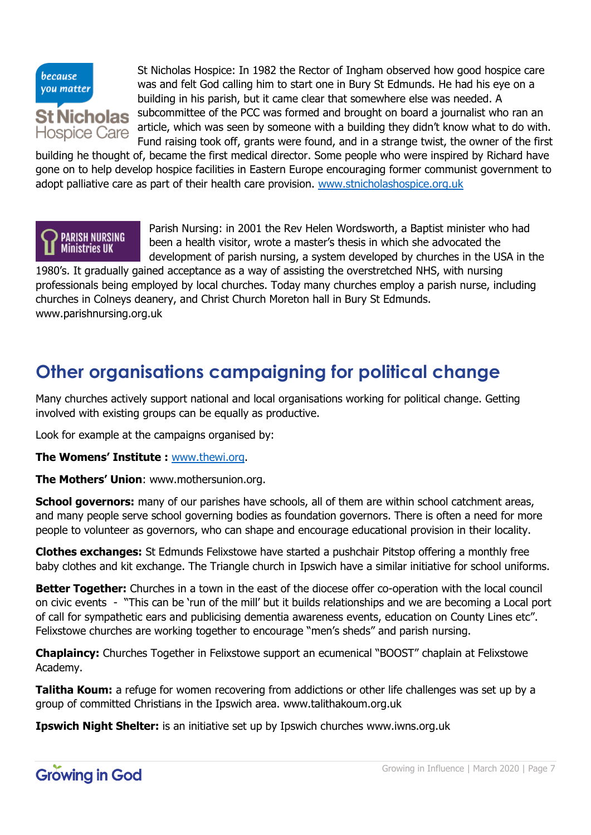

St Nicholas Hospice: In 1982 the Rector of Ingham observed how good hospice care was and felt God calling him to start one in Bury St Edmunds. He had his eye on a building in his parish, but it came clear that somewhere else was needed. A subcommittee of the PCC was formed and brought on board a journalist who ran an article, which was seen by someone with a building they didn't know what to do with. Fund raising took off, grants were found, and in a strange twist, the owner of the first

building he thought of, became the first medical director. Some people who were inspired by Richard have gone on to help develop hospice facilities in Eastern Europe encouraging former communist government to adopt palliative care as part of their health care provision. [www.stnicholashospice.org.uk](http://www.stnicholashospice.org.uk/)



Parish Nursing: in 2001 the Rev Helen Wordsworth, a Baptist minister who had been a health visitor, wrote a master's thesis in which she advocated the development of parish nursing, a system developed by churches in the USA in the

1980's. It gradually gained acceptance as a way of assisting the overstretched NHS, with nursing professionals being employed by local churches. Today many churches employ a parish nurse, including churches in Colneys deanery, and Christ Church Moreton hall in Bury St Edmunds. www.parishnursing.org.uk

### **Other organisations campaigning for political change**

Many churches actively support national and local organisations working for political change. Getting involved with existing groups can be equally as productive.

Look for example at the campaigns organised by:

**The Womens' Institute :** [www.thewi.org.](http://www.thewi.org/)

**The Mothers' Union**: www.mothersunion.org.

**School governors:** many of our parishes have schools, all of them are within school catchment areas, and many people serve school governing bodies as foundation governors. There is often a need for more people to volunteer as governors, who can shape and encourage educational provision in their locality.

**Clothes exchanges:** St Edmunds Felixstowe have started a pushchair Pitstop offering a monthly free baby clothes and kit exchange. The Triangle church in Ipswich have a similar initiative for school uniforms.

**Better Together:** Churches in a town in the east of the diocese offer co-operation with the local council on civic events - "This can be 'run of the mill' but it builds relationships and we are becoming a Local port of call for sympathetic ears and publicising dementia awareness events, education on County Lines etc". Felixstowe churches are working together to encourage "men's sheds" and parish nursing.

**Chaplaincy:** Churches Together in Felixstowe support an ecumenical "BOOST" chaplain at Felixstowe Academy.

**Talitha Koum:** a refuge for women recovering from addictions or other life challenges was set up by a group of committed Christians in the Ipswich area. www.talithakoum.org.uk

**Ipswich Night Shelter:** is an initiative set up by Ipswich churches www.iwns.org.uk